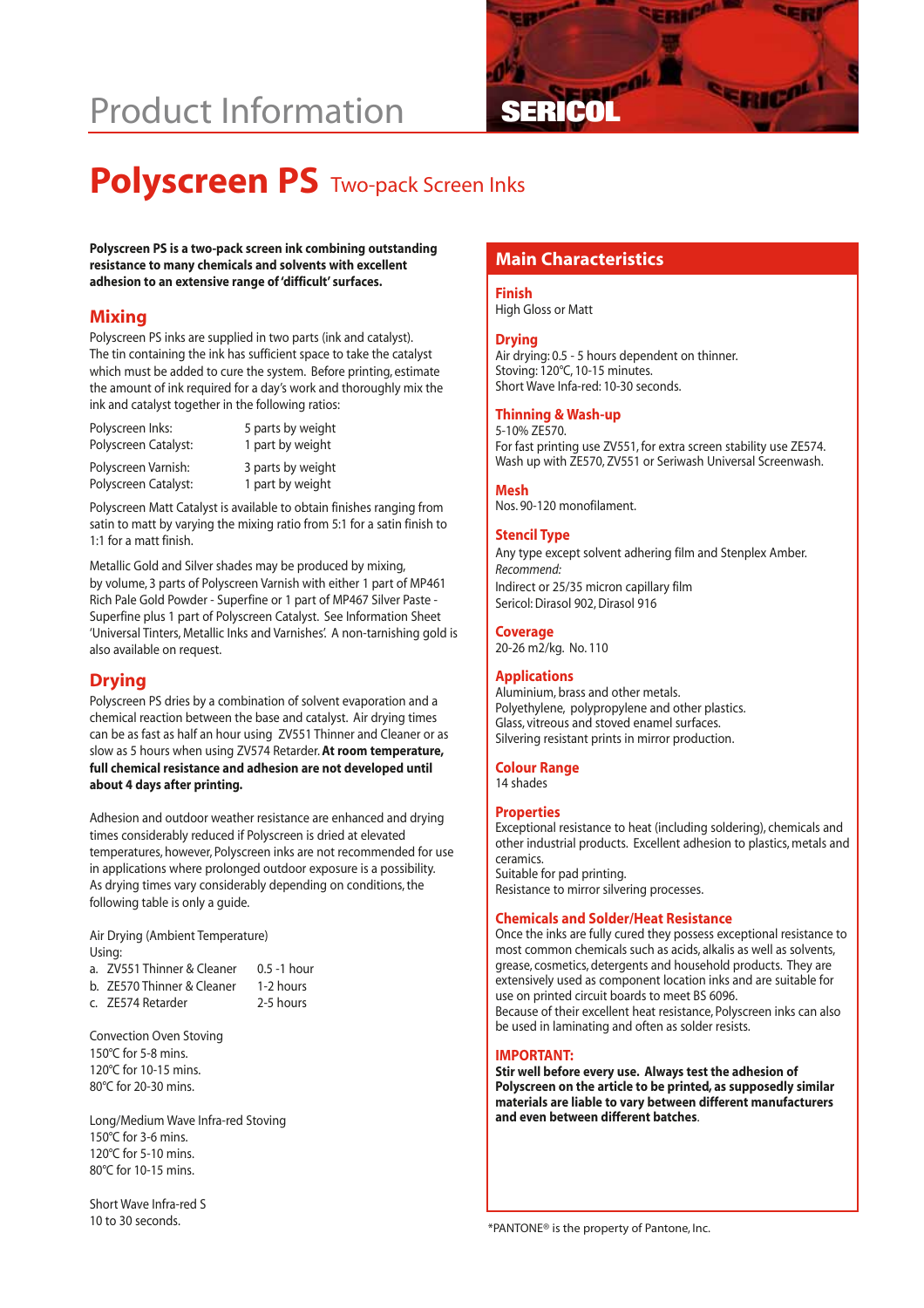# **Product Information**



# **Polyscreen PS** Two-pack Screen Inks

**Main Characteristics Polyscreen PS is a two-pack screen ink combining outstanding resistance to many chemicals and solvents with excellent adhesion to an extensive range of 'difficult' surfaces.**

### **Mixing**

Polyscreen PS inks are supplied in two parts (ink and catalyst). The tin containing the ink has sufficient space to take the catalyst which must be added to cure the system. Before printing, estimate the amount of ink required for a day's work and thoroughly mix the ink and catalyst together in the following ratios:

| Polyscreen Inks:     | 5 parts by weight |
|----------------------|-------------------|
| Polyscreen Catalyst: | 1 part by weight  |
| Polyscreen Varnish:  | 3 parts by weight |
| Polyscreen Catalyst: | 1 part by weight  |

Polyscreen Matt Catalyst is available to obtain finishes ranging from satin to matt by varying the mixing ratio from 5:1 for a satin finish to 1:1 for a matt finish.

Metallic Gold and Silver shades may be produced by mixing, by volume, 3 parts of Polyscreen Varnish with either 1 part of MP461 Rich Pale Gold Powder - Superfine or 1 part of MP467 Silver Paste - Superfine plus 1 part of Polyscreen Catalyst. See Information Sheet 'Universal Tinters, Metallic Inks and Varnishes'. A non-tarnishing gold is also available on request.

# **Drying**

Polyscreen PS dries by a combination of solvent evaporation and a chemical reaction between the base and catalyst. Air drying times can be as fast as half an hour using ZV551 Thinner and Cleaner or as slow as 5 hours when using ZV574 Retarder.**At room temperature, full chemical resistance and adhesion are not developed until about 4 days after printing.**

Adhesion and outdoor weather resistance are enhanced and drying times considerably reduced if Polyscreen is dried at elevated temperatures, however, Polyscreen inks are not recommended for use in applications where prolonged outdoor exposure is a possibility. As drying times vary considerably depending on conditions, the following table is only a guide.

Air Drying (Ambient Temperature) Using:

| a. ZV551 Thinner & Cleaner | $0.5 - 1$ hour |
|----------------------------|----------------|
| b. ZE570 Thinner & Cleaner | 1-2 hours      |
| c. ZE574 Retarder          | 2-5 hours      |

Convection Oven Stoving 150°C for 5-8 mins. 120°C for 10-15 mins. 80°C for 20-30 mins.

Long/Medium Wave Infra-red Stoving 150°C for 3-6 mins. 120°C for 5-10 mins. 80°C for 10-15 mins.

Short Wave Infra-red S 10 to 30 seconds.

#### **Finish**

High Gloss or Matt

#### **Drying**

Air drying: 0.5 - 5 hours dependent on thinner. Stoving: 120°C, 10-15 minutes. Short Wave Infa-red: 10-30 seconds.

#### **Thinning & Wash-up**

5-10% ZE570. For fast printing use ZV551, for extra screen stability use ZE574. Wash up with ZE570, ZV551 or Seriwash Universal Screenwash.

### **Mesh**

Nos. 90-120 monofilament.

#### **Stencil Type**

Any type except solvent adhering film and Stenplex Amber. *Recommend:* Indirect or 25/35 micron capillary film Sericol: Dirasol 902, Dirasol 916

#### **Coverage**

20-26 m2/kg. No. 110

#### **Applications**

Aluminium, brass and other metals. Polyethylene, polypropylene and other plastics. Glass, vitreous and stoved enamel surfaces. Silvering resistant prints in mirror production.

#### **Colour Range** 14 shades

#### **Properties**

Exceptional resistance to heat (including soldering), chemicals and other industrial products. Excellent adhesion to plastics, metals and ceramics.

Suitable for pad printing. Resistance to mirror silvering processes.

#### **Chemicals and Solder/Heat Resistance**

Once the inks are fully cured they possess exceptional resistance to most common chemicals such as acids, alkalis as well as solvents, grease, cosmetics, detergents and household products. They are extensively used as component location inks and are suitable for use on printed circuit boards to meet BS 6096. Because of their excellent heat resistance, Polyscreen inks can also be used in laminating and often as solder resists.

#### **IMPORTANT:**

**Stir well before every use. Always test the adhesion of Polyscreen on the article to be printed, as supposedly similar materials are liable to vary between different manufacturers and even between different batches**.

\*PANTONE® is the property of Pantone, Inc.